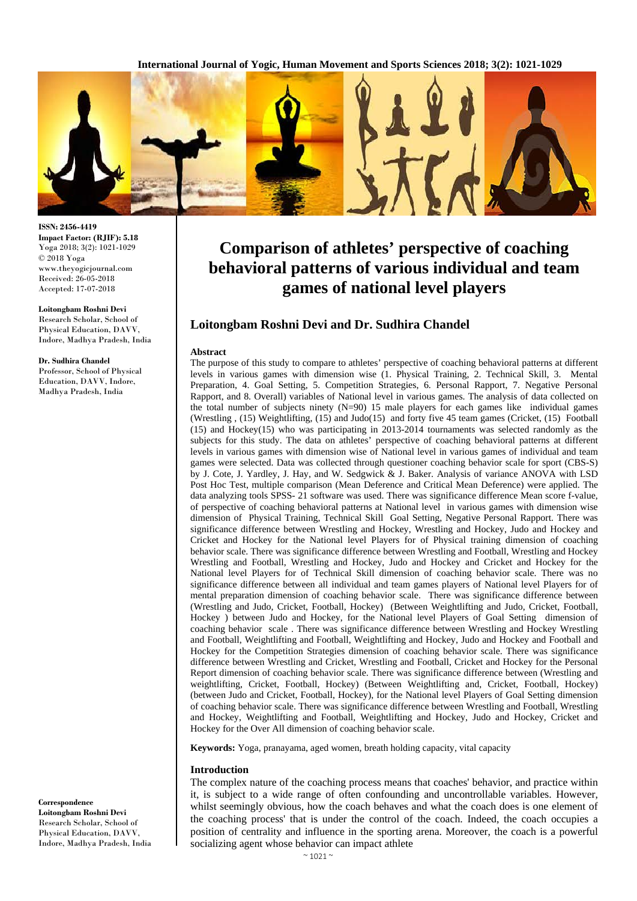**International Journal of Yogic, Human Movement and Sports Sciences 2018; 3(2): 1021-1029**



**ISSN: 2456-4419 Impact Factor: (RJIF): 5.18** Yoga 2018; 3(2): 1021-1029 © 2018 Yoga www.theyogicjournal.com Received: 26-05-2018 Accepted: 17-07-2018

**Loitongbam Roshni Devi** Research Scholar, School of Physical Education, DAVV, Indore, Madhya Pradesh, India

#### **Dr. Sudhira Chandel**

Professor, School of Physical Education, DAVV, Indore, Madhya Pradesh, India

**Correspondence Loitongbam Roshni Devi** Research Scholar, School of Physical Education, DAVV, Indore, Madhya Pradesh, India

# **Comparison of athletes' perspective of coaching behavioral patterns of various individual and team games of national level players**

# **Loitongbam Roshni Devi and Dr. Sudhira Chandel**

#### **Abstract**

The purpose of this study to compare to athletes' perspective of coaching behavioral patterns at different levels in various games with dimension wise (1. Physical Training, 2. Technical Skill, 3. Mental Preparation, 4. Goal Setting, 5. Competition Strategies, 6. Personal Rapport, 7. Negative Personal Rapport, and 8. Overall) variables of National level in various games. The analysis of data collected on the total number of subjects ninety  $(N=90)$  15 male players for each games like individual games (Wrestling , (15) Weightlifting, (15) and Judo(15) and forty five 45 team games (Cricket, (15) Football (15) and Hockey(15) who was participating in 2013-2014 tournaments was selected randomly as the subjects for this study. The data on athletes' perspective of coaching behavioral patterns at different levels in various games with dimension wise of National level in various games of individual and team games were selected. Data was collected through questioner coaching behavior scale for sport (CBS-S) by J. Cote, J. Yardley, J. Hay, and W. Sedgwick & J. Baker. Analysis of variance ANOVA with LSD Post Hoc Test, multiple comparison (Mean Deference and Critical Mean Deference) were applied. The data analyzing tools SPSS- 21 software was used. There was significance difference Mean score f-value, of perspective of coaching behavioral patterns at National level in various games with dimension wise dimension of Physical Training, Technical Skill Goal Setting, Negative Personal Rapport. There was significance difference between Wrestling and Hockey, Wrestling and Hockey, Judo and Hockey and Cricket and Hockey for the National level Players for of Physical training dimension of coaching behavior scale. There was significance difference between Wrestling and Football, Wrestling and Hockey Wrestling and Football, Wrestling and Hockey, Judo and Hockey and Cricket and Hockey for the National level Players for of Technical Skill dimension of coaching behavior scale. There was no significance difference between all individual and team games players of National level Players for of mental preparation dimension of coaching behavior scale. There was significance difference between (Wrestling and Judo, Cricket, Football, Hockey) (Between Weightlifting and Judo, Cricket, Football, Hockey ) between Judo and Hockey, for the National level Players of Goal Setting dimension of coaching behavior scale . There was significance difference between Wrestling and Hockey Wrestling and Football, Weightlifting and Football, Weightlifting and Hockey, Judo and Hockey and Football and Hockey for the Competition Strategies dimension of coaching behavior scale. There was significance difference between Wrestling and Cricket, Wrestling and Football, Cricket and Hockey for the Personal Report dimension of coaching behavior scale. There was significance difference between (Wrestling and weightlifting, Cricket, Football, Hockey) (Between Weightlifting and, Cricket, Football, Hockey) (between Judo and Cricket, Football, Hockey), for the National level Players of Goal Setting dimension of coaching behavior scale. There was significance difference between Wrestling and Football, Wrestling and Hockey, Weightlifting and Football, Weightlifting and Hockey, Judo and Hockey, Cricket and Hockey for the Over All dimension of coaching behavior scale.

**Keywords:** Yoga, pranayama, aged women, breath holding capacity, vital capacity

#### **Introduction**

The complex nature of the coaching process means that coaches' behavior, and practice within it, is subject to a wide range of often confounding and uncontrollable variables. However, whilst seemingly obvious, how the coach behaves and what the coach does is one element of the coaching process' that is under the control of the coach. Indeed, the coach occupies a position of centrality and influence in the sporting arena. Moreover, the coach is a powerful socializing agent whose behavior can impact athlete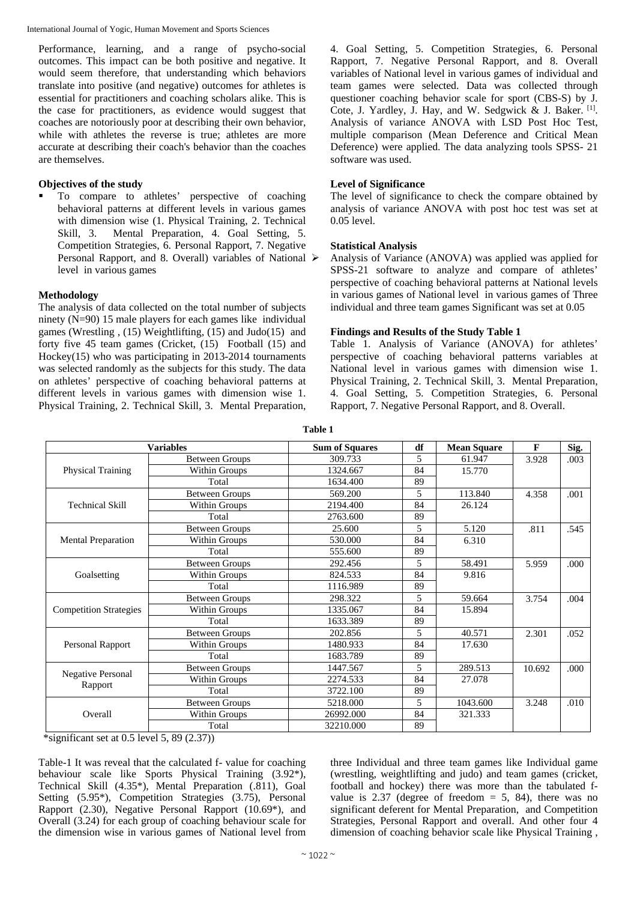Performance, learning, and a range of psycho-social outcomes. This impact can be both positive and negative. It would seem therefore, that understanding which behaviors translate into positive (and negative) outcomes for athletes is essential for practitioners and coaching scholars alike. This is the case for practitioners, as evidence would suggest that coaches are notoriously poor at describing their own behavior, while with athletes the reverse is true; athletes are more accurate at describing their coach's behavior than the coaches are themselves.

## **Objectives of the study**

 To compare to athletes' perspective of coaching behavioral patterns at different levels in various games with dimension wise (1. Physical Training, 2. Technical Skill, 3. Mental Preparation, 4. Goal Setting, 5. Competition Strategies, 6. Personal Rapport, 7. Negative Personal Rapport, and 8. Overall) variables of National  $\triangleright$ level in various games

## **Methodology**

The analysis of data collected on the total number of subjects ninety (N=90) 15 male players for each games like individual games (Wrestling , (15) Weightlifting, (15) and Judo(15) and forty five 45 team games (Cricket, (15) Football (15) and Hockey(15) who was participating in 2013-2014 tournaments was selected randomly as the subjects for this study. The data on athletes' perspective of coaching behavioral patterns at different levels in various games with dimension wise 1. Physical Training, 2. Technical Skill, 3. Mental Preparation, 4. Goal Setting, 5. Competition Strategies, 6. Personal Rapport, 7. Negative Personal Rapport, and 8. Overall variables of National level in various games of individual and team games were selected. Data was collected through questioner coaching behavior scale for sport (CBS-S) by J. Cote, J. Yardley, J. Hay, and W. Sedgwick & J. Baker. [1]. Analysis of variance ANOVA with LSD Post Hoc Test, multiple comparison (Mean Deference and Critical Mean Deference) were applied. The data analyzing tools SPSS- 21 software was used.

## **Level of Significance**

The level of significance to check the compare obtained by analysis of variance ANOVA with post hoc test was set at 0.05 level.

## **Statistical Analysis**

 Analysis of Variance (ANOVA) was applied was applied for SPSS-21 software to analyze and compare of athletes' perspective of coaching behavioral patterns at National levels in various games of National level in various games of Three individual and three team games Significant was set at 0.05

## **Findings and Results of the Study Table 1**

Table 1. Analysis of Variance (ANOVA) for athletes' perspective of coaching behavioral patterns variables at National level in various games with dimension wise 1. Physical Training, 2. Technical Skill, 3. Mental Preparation, 4. Goal Setting, 5. Competition Strategies, 6. Personal Rapport, 7. Negative Personal Rapport, and 8. Overall.

|                               | <b>Variables</b>      | <b>Sum of Squares</b> | df | <b>Mean Square</b> | F      | Sig. |
|-------------------------------|-----------------------|-----------------------|----|--------------------|--------|------|
|                               | <b>Between Groups</b> | 309.733               | 5  | 61.947             | 3.928  | .003 |
| <b>Physical Training</b>      | Within Groups         | 1324.667              | 84 | 15.770             |        |      |
|                               | Total                 | 1634.400              | 89 |                    |        |      |
|                               | <b>Between Groups</b> | 569.200               | 5  | 113.840            | 4.358  | .001 |
| <b>Technical Skill</b>        | Within Groups         | 2194.400              | 84 | 26.124             |        |      |
|                               | Total                 | 2763.600              | 89 |                    |        |      |
|                               | <b>Between Groups</b> | 25.600                | 5  | 5.120              | .811   | .545 |
| <b>Mental Preparation</b>     | Within Groups         | 530.000               | 84 | 6.310              |        |      |
|                               | Total                 | 555.600               | 89 |                    |        |      |
|                               | <b>Between Groups</b> | 292.456               | 5  | 58.491             | 5.959  | .000 |
| Goalsetting                   | Within Groups         | 824.533               | 84 | 9.816              |        |      |
|                               | Total                 | 1116.989              | 89 |                    |        |      |
|                               | <b>Between Groups</b> | 298.322               | 5  | 59.664             | 3.754  | .004 |
| <b>Competition Strategies</b> | Within Groups         | 1335.067              | 84 | 15.894             |        |      |
|                               | Total                 | 1633.389              | 89 |                    |        |      |
|                               | <b>Between Groups</b> | 202.856               | 5  | 40.571             | 2.301  | .052 |
| Personal Rapport              | Within Groups         | 1480.933              | 84 | 17.630             |        |      |
|                               | Total                 | 1683.789              | 89 |                    |        |      |
|                               | <b>Between Groups</b> | 1447.567              | 5  | 289.513            | 10.692 | .000 |
| <b>Negative Personal</b>      | Within Groups         | 2274.533              | 84 | 27.078             |        |      |
| Rapport                       | Total                 | 3722.100              | 89 |                    |        |      |
|                               | <b>Between Groups</b> | 5218.000              | 5  | 1043.600           | 3.248  | .010 |
| Overall                       | Within Groups         | 26992.000             | 84 | 321.333            |        |      |
|                               | Total                 | 32210.000             | 89 |                    |        |      |

**Table 1**

\*significant set at  $0.5$  level  $5$ ,  $89$   $(2.37)$ )

Table-1 It was reveal that the calculated f- value for coaching behaviour scale like Sports Physical Training (3.92\*), Technical Skill (4.35\*), Mental Preparation (.811), Goal Setting (5.95\*), Competition Strategies (3.75), Personal Rapport (2.30), Negative Personal Rapport (10.69\*), and Overall (3.24) for each group of coaching behaviour scale for the dimension wise in various games of National level from

three Individual and three team games like Individual game (wrestling, weightlifting and judo) and team games (cricket, football and hockey) there was more than the tabulated fvalue is 2.37 (degree of freedom  $= 5$ , 84), there was no significant deferent for Mental Preparation, and Competition Strategies, Personal Rapport and overall. And other four 4 dimension of coaching behavior scale like Physical Training ,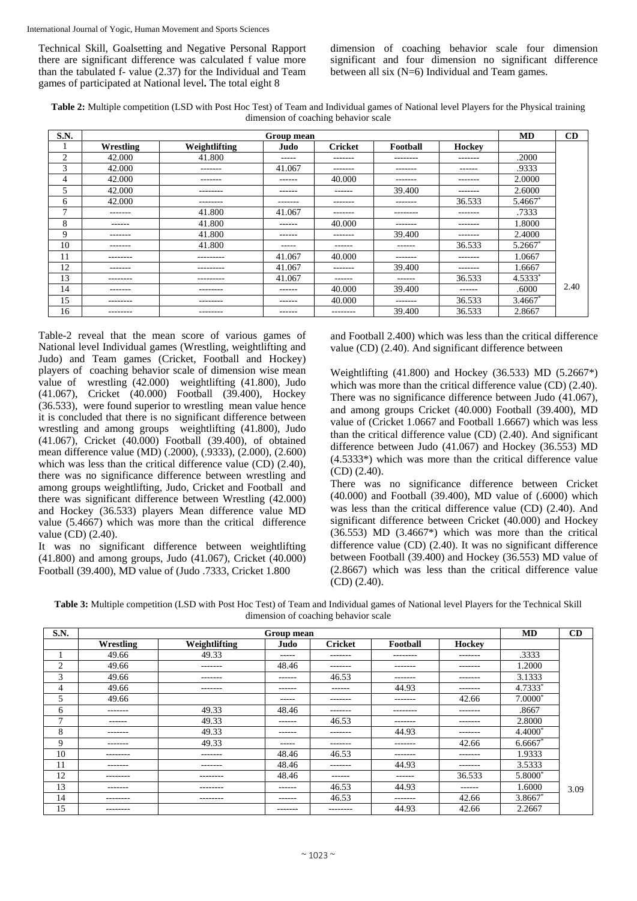Technical Skill, Goalsetting and Negative Personal Rapport there are significant difference was calculated f value more than the tabulated f- value (2.37) for the Individual and Team games of participated at National level**.** The total eight 8

dimension of coaching behavior scale four dimension significant and four dimension no significant difference between all six (N=6) Individual and Team games.

**Table 2:** Multiple competition (LSD with Post Hoc Test) of Team and Individual games of National level Players for the Physical training dimension of coaching behavior scale

| S.N.         |           |                   | Group mean |                |          |               | MD         | CD   |
|--------------|-----------|-------------------|------------|----------------|----------|---------------|------------|------|
|              | Wrestling | Weightlifting     | Judo       | <b>Cricket</b> | Football | <b>Hockey</b> |            |      |
| 2            | 42.000    | 41.800            | -----      | --------       | -------- | -------       | .2000      |      |
| 3            | 42.000    | -------           | 41.067     | -------        | -------  | ------        | .9333      |      |
| 4            | 42.000    | -------           | ------     | 40.000         | -------  | -------       | 2.0000     |      |
| 5            | 42.000    | ---------         | ------     | ------         | 39.400   | -------       | 2.6000     |      |
| 6            | 42.000    | $- - - - - - - -$ | -------    | --------       | -------  | 36.533        | 5.4667*    |      |
| $\mathbf{r}$ | -------   | 41.800            | 41.067     | --------       | -------- | -------       | .7333      |      |
| 8            | ------    | 41.800            | ------     | 40.000         | -------  | -------       | 1.8000     |      |
| 9            | -------   | 41.800            | ------     | -------        | 39.400   | -------       | 2.4000     |      |
| 10           | -------   | 41.800            | -----      | ------         | ------   | 36.533        | $5.2667*$  |      |
| 11           | --------  | ---------         | 41.067     | 40.000         | -------  | -------       | 1.0667     |      |
| 12           | -------   | ---------         | 41.067     | -------        | 39.400   | -------       | 1.6667     |      |
| 13           | --------  | ---------         | 41.067     | ------         | ------   | 36.533        | $4.5333*$  |      |
| 14           | -------   | --------          | ------     | 40.000         | 39.400   | ------        | .6000      | 2.40 |
| 15           | --------  | ---------         | ------     | 40.000         | -------  | 36.533        | $3.4667$ * |      |
| 16           | --------  | --------          | ------     | --------       | 39.400   | 36.533        | 2.8667     |      |

Table-2 reveal that the mean score of various games of National level Individual games (Wrestling, weightlifting and Judo) and Team games (Cricket, Football and Hockey) players of coaching behavior scale of dimension wise mean value of wrestling (42.000) weightlifting (41.800), Judo (41.067), Cricket (40.000) Football (39.400), Hockey (36.533), were found superior to wrestling mean value hence it is concluded that there is no significant difference between wrestling and among groups weightlifting (41.800), Judo (41.067), Cricket (40.000) Football (39.400), of obtained mean difference value (MD) (.2000), (.9333), (2.000), (2.600) which was less than the critical difference value (CD) (2.40), there was no significance difference between wrestling and among groups weightlifting, Judo, Cricket and Football and there was significant difference between Wrestling (42.000) and Hockey (36.533) players Mean difference value MD value (5.4667) which was more than the critical difference value (CD) (2.40).

It was no significant difference between weightlifting (41.800) and among groups, Judo (41.067), Cricket (40.000) Football (39.400), MD value of (Judo .7333, Cricket 1.800

and Football 2.400) which was less than the critical difference value (CD) (2.40). And significant difference between

Weightlifting (41.800) and Hockey (36.533) MD (5.2667\*) which was more than the critical difference value (CD) (2.40). There was no significance difference between Judo (41.067), and among groups Cricket (40.000) Football (39.400), MD value of (Cricket 1.0667 and Football 1.6667) which was less than the critical difference value (CD) (2.40). And significant difference between Judo (41.067) and Hockey (36.553) MD (4.5333\*) which was more than the critical difference value (CD) (2.40).

There was no significance difference between Cricket (40.000) and Football (39.400), MD value of (.6000) which was less than the critical difference value (CD) (2.40). And significant difference between Cricket (40.000) and Hockey  $(36.553)$  MD  $(3.4667*)$  which was more than the critical difference value (CD) (2.40). It was no significant difference between Football (39.400) and Hockey (36.553) MD value of (2.8667) which was less than the critical difference value (CD) (2.40).

**Table 3:** Multiple competition (LSD with Post Hoc Test) of Team and Individual games of National level Players for the Technical Skill dimension of coaching behavior scale

| S.N.          |               |               | Group mean    |                 |               |          | <b>MD</b> | CD   |
|---------------|---------------|---------------|---------------|-----------------|---------------|----------|-----------|------|
|               | Wrestling     | Weightlifting | Judo          | <b>Cricket</b>  | Football      | Hockey   |           |      |
|               | 49.66         | 49.33         | -----         | -------         | --------      | -------  | .3333     |      |
| $\mathcal{D}$ | 49.66         | -------       | 48.46         | $- - - - - - -$ | -------       | -------- | 1.2000    |      |
| 3             | 49.66         | -------       | $- - - - - -$ | 46.53           | -------       | -------  | 3.1333    |      |
| 4             | 49.66         | -------       | $- - - - - -$ | $- - - - - -$   | 44.93         | -------  | 4.7333*   |      |
| 5             | 49.66         |               | -----         | -------         | -------       | 42.66    | $7.0000*$ |      |
| 6             | -------       | 49.33         | 48.46         | -------         | --------      | -------- | .8667     |      |
| $\mathbf{r}$  | $- - - - - -$ | 49.33         | $- - - - - -$ | 46.53           | -------       | -------- | 2.8000    |      |
| 8             | -------       | 49.33         | $- - - - - -$ | -------         | 44.93         | -------  | 4.4000*   |      |
| 9             | -------       | 49.33         | -----         | -------         | -------       | 42.66    | $6.6667*$ |      |
| 10            | --------      | -------       | 48.46         | 46.53           | -------       | -------  | 1.9333    |      |
| 11            | -------       | -------       | 48.46         | -------         | 44.93         | -------  | 3.5333    |      |
| 12            | --------      | ---------     | 48.46         | $- - - - - -$   | $- - - - - -$ | 36.533   | 5.8000*   |      |
| 13            | -------       | --------      | $- - - - - -$ | 46.53           | 44.93         | ------   | 1.6000    | 3.09 |
| 14            | ---------     | --------      | -------       | 46.53           | -------       | 42.66    | 3.8667*   |      |
| 15            | --------      |               | -------       | --------        | 44.93         | 42.66    | 2.2667    |      |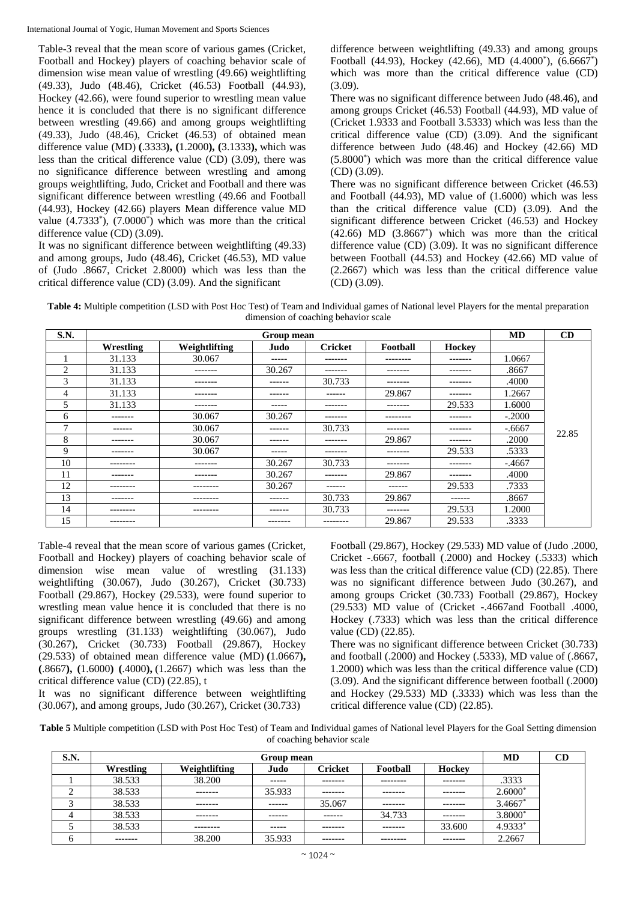Table-3 reveal that the mean score of various games (Cricket, Football and Hockey) players of coaching behavior scale of dimension wise mean value of wrestling (49.66) weightlifting (49.33), Judo (48.46), Cricket (46.53) Football (44.93), Hockey (42.66), were found superior to wrestling mean value hence it is concluded that there is no significant difference between wrestling (49.66) and among groups weightlifting (49.33), Judo (48.46), Cricket (46.53) of obtained mean difference value (MD) **(**.3333**), (**1.2000**), (**3.1333**),** which was less than the critical difference value (CD) (3.09), there was no significance difference between wrestling and among groups weightlifting, Judo, Cricket and Football and there was significant difference between wrestling (49.66 and Football (44.93), Hockey (42.66) players Mean difference value MD value  $(4.7333^*)$ ,  $(7.0000^*)$  which was more than the critical difference value (CD) (3.09).

It was no significant difference between weightlifting (49.33) and among groups, Judo (48.46), Cricket (46.53), MD value of (Judo .8667, Cricket 2.8000) which was less than the critical difference value (CD) (3.09). And the significant

difference between weightlifting (49.33) and among groups Football (44.93), Hockey (42.66), MD (4.4000<sup>\*</sup>), (6.6667<sup>\*</sup>) which was more than the critical difference value (CD) (3.09).

There was no significant difference between Judo (48.46), and among groups Cricket (46.53) Football (44.93), MD value of (Cricket 1.9333 and Football 3.5333) which was less than the critical difference value (CD) (3.09). And the significant difference between Judo (48.46) and Hockey (42.66) MD (5.8000\* ) which was more than the critical difference value (CD) (3.09).

There was no significant difference between Cricket (46.53) and Football (44.93), MD value of (1.6000) which was less than the critical difference value (CD) (3.09). And the significant difference between Cricket (46.53) and Hockey  $(42.66)$  MD  $(3.8667^*)$  which was more than the critical difference value (CD) (3.09). It was no significant difference between Football (44.53) and Hockey (42.66) MD value of (2.2667) which was less than the critical difference value (CD) (3.09).

**Table 4:** Multiple competition (LSD with Post Hoc Test) of Team and Individual games of National level Players for the mental preparation dimension of coaching behavior scale

| S.N.           |           |               | Group mean    |                |           |               | <b>MD</b> | CD    |
|----------------|-----------|---------------|---------------|----------------|-----------|---------------|-----------|-------|
|                | Wrestling | Weightlifting | Judo.         | <b>Cricket</b> | Football  | <b>Hockey</b> |           |       |
|                | 31.133    | 30.067        | -----         | -------        | --------- | --------      | 1.0667    |       |
| $\overline{2}$ | 31.133    | -------       | 30.267        | -------        | -------   | --------      | .8667     |       |
| 3              | 31.133    | --------      | ------        | 30.733         | --------  | -------       | .4000     |       |
| 4              | 31.133    | -------       | $- - - - - -$ | ------         | 29.867    | -------       | 1.2667    |       |
| 5              | 31.133    | --------      | ------        | --------       | --------  | 29.533        | 1.6000    |       |
| 6              | --------  | 30.067        | 30.267        | --------       | --------  | --------      | $-.2000$  |       |
| $\mathbf{7}$   | ------    | 30.067        | ------        | 30.733         | -------   | -------       | $-.6667$  |       |
| 8              | -------   | 30.067        | ------        | -------        | 29.867    | -------       | .2000     | 22.85 |
| 9              | --------  | 30.067        | -----         | -------        | --------  | 29.533        | .5333     |       |
| 10             | --------  | -------       | 30.267        | 30.733         | -------   | --------      | $-.4667$  |       |
| 11             | --------  | --------      | 30.267        | --------       | 29.867    | -------       | .4000     |       |
| 12             | --------  | --------      | 30.267        | ------         | ------    | 29.533        | .7333     |       |
| 13             | --------  | --------      | $- - - - - -$ | 30.733         | 29.867    | -------       | .8667     |       |
| 14             | --------  | --------      | ------        | 30.733         | -------   | 29.533        | 1.2000    |       |
| 15             | --------  |               | --------      | --------       | 29.867    | 29.533        | .3333     |       |

Table-4 reveal that the mean score of various games (Cricket, Football and Hockey) players of coaching behavior scale of dimension wise mean value of wrestling (31.133) weightlifting (30.067), Judo (30.267), Cricket (30.733) Football (29.867), Hockey (29.533), were found superior to wrestling mean value hence it is concluded that there is no significant difference between wrestling (49.66) and among groups wrestling (31.133) weightlifting (30.067), Judo (30.267), Cricket (30.733) Football (29.867), Hockey (29.533) of obtained mean difference value (MD) **(**1.0667**), (**.8667**), (**1.6000**) (**.4000**),** (1.2667) which was less than the critical difference value (CD) (22.85), t

It was no significant difference between weightlifting (30.067), and among groups, Judo (30.267), Cricket (30.733)

Football (29.867), Hockey (29.533) MD value of (Judo .2000, Cricket -.6667, football (.2000) and Hockey (.5333) which was less than the critical difference value (CD) (22.85). There was no significant difference between Judo (30.267), and among groups Cricket (30.733) Football (29.867), Hockey (29.533) MD value of (Cricket -.4667and Football .4000, Hockey (.7333) which was less than the critical difference value (CD) (22.85).

There was no significant difference between Cricket (30.733) and football (.2000) and Hockey (.5333), MD value of (.8667, 1.2000) which was less than the critical difference value (CD) (3.09). And the significant difference between football (.2000) and Hockey (29.533) MD (.3333) which was less than the critical difference value (CD) (22.85).

**Table 5** Multiple competition (LSD with Post Hoc Test) of Team and Individual games of National level Players for the Goal Setting dimension of coaching behavior scale

| S.N. |           |               | Group mean |                |           |          | MD                    | CD |
|------|-----------|---------------|------------|----------------|-----------|----------|-----------------------|----|
|      | Wrestling | Weightlifting | Judo       | <b>Cricket</b> | Football  | Hockey   |                       |    |
|      | 38.533    | 38.200        | ------     | -------        | --------- | -------- | .3333                 |    |
| ◠    | 38.533    | -------       | 35.933     | -------        | -------   | -------  | $2.6000*$             |    |
|      | 38.533    | --------      | ------     | 35,067         | -------   | -------  | $3.4667$ <sup>*</sup> |    |
|      | 38.533    | --------      | -------    | -------        | 34.733    | -------  | 3.8000*               |    |
|      | 38.533    | --------      | -----      | -------        | -------   | 33.600   | 4.9333*               |    |
| O    | -------   | 38.200        | 35.933     | -------        | --------  | -------  | 2.2667                |    |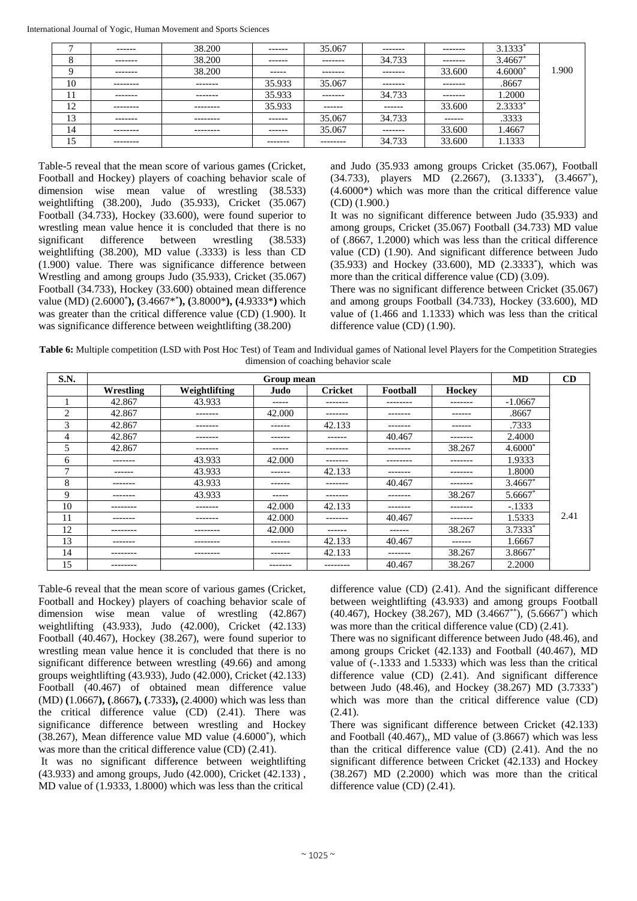| $\mathbf{r}$ | -------   | 38.200   | ------- | 35.067    | -------- | -------  | $3.1333*$ |       |
|--------------|-----------|----------|---------|-----------|----------|----------|-----------|-------|
| o<br>$\circ$ | --------  | 38.200   | ------- | --------  | 34.733   | -------- | $3.4667*$ |       |
| Q            | --------  | 38.200   | ------  | --------  | -------- | 33.600   | $4.6000*$ | 1.900 |
| 10           | --------- | -------- | 35.933  | 35.067    | -------- | -------  | .8667     |       |
| 11           | -------   | -------- | 35.933  | --------  | 34.733   | -------  | 1.2000    |       |
| 12           | --------  | -------- | 35.933  | -------   | -------  | 33.600   | $2.3333*$ |       |
| 13           | -------   | -------- | ------- | 35.067    | 34.733   | ------   | .3333     |       |
| 14           | --------- | -------- | ------- | 35.067    | -------  | 33.600   | 1.4667    |       |
| 15           | --------  |          | ------- | --------- | 34.733   | 33.600   | 1.1333    |       |

Table-5 reveal that the mean score of various games (Cricket, Football and Hockey) players of coaching behavior scale of dimension wise mean value of wrestling (38.533) weightlifting (38.200), Judo (35.933), Cricket (35.067) Football (34.733), Hockey (33.600), were found superior to wrestling mean value hence it is concluded that there is no significant difference between wrestling (38.533) weightlifting (38.200), MD value (.3333) is less than CD (1.900) value. There was significance difference between Wrestling and among groups Judo (35.933), Cricket (35.067) Football (34.733), Hockey (33.600) obtained mean difference value (MD) (2.6000\* **), (**3.4667\*\* **), (**3.8000\***), (**4.9333\***)** which was greater than the critical difference value (CD) (1.900). It was significance difference between weightlifting (38.200)

and Judo (35.933 among groups Cricket (35.067), Football (34.733), players MD (2.2667), (3.1333<sup>\*</sup>), (3.4667<sup>\*</sup>), (4.6000\*) which was more than the critical difference value (CD) (1.900.)

It was no significant difference between Judo (35.933) and among groups, Cricket (35.067) Football (34.733) MD value of (.8667, 1.2000) which was less than the critical difference value (CD) (1.90). And significant difference between Judo (35.933) and Hockey (33.600), MD (2.3333\* ), which was more than the critical difference value (CD) (3.09).

There was no significant difference between Cricket (35.067) and among groups Football (34.733), Hockey (33.600), MD value of (1.466 and 1.1333) which was less than the critical difference value (CD) (1.90).

**Table 6:** Multiple competition (LSD with Post Hoc Test) of Team and Individual games of National level Players for the Competition Strategies dimension of coaching behavior scale

| S.N. |               |               | Group mean  |                |          |          | <b>MD</b>             | CD   |
|------|---------------|---------------|-------------|----------------|----------|----------|-----------------------|------|
|      | Wrestling     | Weightlifting | Judo        | <b>Cricket</b> | Football | Hockey   |                       |      |
|      | 42.867        | 43.933        | ------      | -------        | -------- | -------- | $-1.0667$             |      |
| 2    | 42.867        | -------       | 42.000      | -------        | -------  | ------   | .8667                 |      |
| 3    | 42.867        | --------      | ------      | 42.133         | -------  | -------  | .7333                 |      |
| 4    | 42.867        | --------      | -------     | -------        | 40.467   | -------- | 2.4000                |      |
| 5    | 42.867        | --------      | ------      | -------        | -------  | 38.267   | $4.6000*$             |      |
| 6    | --------      | 43.933        | 42.000      | -------        | -------- | -------  | 1.9333                |      |
| Ξ    | $- - - - - -$ | 43.933        | ------      | 42.133         | -------  | -------  | 1.8000                |      |
| 8    | --------      | 43.933        | -------     | -------        | 40.467   | -------- | $3.4667$ <sup>*</sup> |      |
| 9    | -------       | 43.933        | $- - - - -$ | -------        | -------  | 38.267   | 5.6667                |      |
| 10   | --------      | --------      | 42.000      | 42.133         | -------  | -------- | $-.1333$              |      |
| 11   | --------      | -------       | 42,000      | -------        | 40.467   | -------  | 1.5333                | 2.41 |
| 12   | ---------     | --------      | 42.000      | -------        | ------   | 38.267   | $3.7333*$             |      |
| 13   | --------      | ---------     | -------     | 42.133         | 40.467   | -------  | 1.6667                |      |
| 14   | --------      | ---------     | -------     | 42.133         | -------  | 38.267   | $3.8667*$             |      |
| 15   | ---------     |               | -------     | --------       | 40.467   | 38.267   | 2.2000                |      |

Table-6 reveal that the mean score of various games (Cricket, Football and Hockey) players of coaching behavior scale of dimension wise mean value of wrestling (42.867) weightlifting (43.933), Judo (42.000), Cricket (42.133) Football (40.467), Hockey (38.267), were found superior to wrestling mean value hence it is concluded that there is no significant difference between wrestling (49.66) and among groups weightlifting (43.933), Judo (42.000), Cricket (42.133) Football (40.467) of obtained mean difference value (MD) **(**1.0667**), (**.8667**), (**.7333**),** (2.4000) which was less than the critical difference value (CD) (2.41). There was significance difference between wrestling and Hockey (38.267), Mean difference value MD value (4.6000\* ), which was more than the critical difference value (CD)  $(2.41)$ .

It was no significant difference between weightlifting (43.933) and among groups, Judo (42.000), Cricket (42.133) , MD value of (1.9333, 1.8000) which was less than the critical

difference value (CD) (2.41). And the significant difference between weightlifting (43.933) and among groups Football (40.467), Hockey (38.267), MD (3.4667\*\*), (5.6667\* ) which was more than the critical difference value (CD) (2.41).

There was no significant difference between Judo (48.46), and among groups Cricket (42.133) and Football (40.467), MD value of (-.1333 and 1.5333) which was less than the critical difference value (CD) (2.41). And significant difference between Judo (48.46), and Hockey (38.267) MD (3.7333\* ) which was more than the critical difference value (CD)  $(2.41)$ .

There was significant difference between Cricket (42.133) and Football (40.467),, MD value of (3.8667) which was less than the critical difference value (CD) (2.41). And the no significant difference between Cricket (42.133) and Hockey (38.267) MD (2.2000) which was more than the critical difference value (CD) (2.41).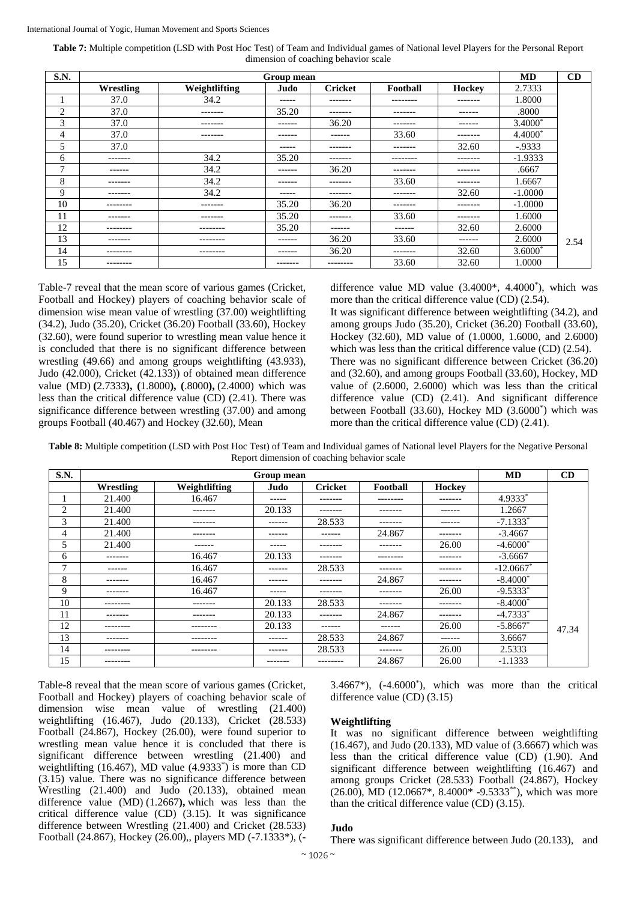**Table 7:** Multiple competition (LSD with Post Hoc Test) of Team and Individual games of National level Players for the Personal Report dimension of coaching behavior scale

| S.N.           |           |               | Group mean    |                |           |         | <b>MD</b> | CD   |
|----------------|-----------|---------------|---------------|----------------|-----------|---------|-----------|------|
|                | Wrestling | Weightlifting | Judo          | <b>Cricket</b> | Football  | Hockey  | 2.7333    |      |
|                | 37.0      | 34.2          | -----         | -------        | --------  | ------- | 1.8000    |      |
| $\overline{2}$ | 37.0      | -------       | 35.20         | -------        | -------   | ------  | .8000     |      |
| 3              | 37.0      | --------      | $- - - - - -$ | 36.20          | --------  | ------  | $3.4000*$ |      |
| 4              | 37.0      | --------      | -------       | ------         | 33.60     | ------- | $4.4000*$ |      |
| 5              | 37.0      |               | -----         | -------        | -------   | 32.60   | $-0.9333$ |      |
| 6              | -------   | 34.2          | 35.20         | --------       | --------- | ------- | $-1.9333$ |      |
| $\mathbf{r}$   | -------   | 34.2          | -------       | 36.20          | -------   | ------- | .6667     |      |
| 8              | -------   | 34.2          | $- - - - - -$ | -------        | 33.60     | ------- | 1.6667    |      |
| 9              | -------   | 34.2          | ------        | --------       | --------  | 32.60   | $-1.0000$ |      |
| 10             | --------  | -------       | 35.20         | 36.20          | -------   | ------- | $-1.0000$ |      |
| 11             | -------   | --------      | 35.20         | --------       | 33.60     | ------- | 1.6000    |      |
| 12             | --------  | --------      | 35.20         | ------         | -------   | 32.60   | 2.6000    |      |
| 13             | -------   | ---------     | $- - - - - -$ | 36.20          | 33.60     | ------  | 2.6000    | 2.54 |
| 14             | --------- | ---------     | -------       | 36.20          | --------  | 32.60   | $3.6000*$ |      |
| 15             | --------  |               | -------       | ---------      | 33.60     | 32.60   | 1.0000    |      |

Table-7 reveal that the mean score of various games (Cricket, Football and Hockey) players of coaching behavior scale of dimension wise mean value of wrestling (37.00) weightlifting (34.2), Judo (35.20), Cricket (36.20) Football (33.60), Hockey (32.60), were found superior to wrestling mean value hence it is concluded that there is no significant difference between wrestling (49.66) and among groups weightlifting (43.933), Judo (42.000), Cricket (42.133)) of obtained mean difference value (MD) **(**2.7333**), (**1.8000**), (**.8000**),** (2.4000) which was less than the critical difference value (CD) (2.41). There was significance difference between wrestling (37.00) and among groups Football (40.467) and Hockey (32.60), Mean

difference value MD value (3.4000\*, 4.4000\* ), which was more than the critical difference value (CD) (2.54).

It was significant difference between weightlifting (34.2), and among groups Judo (35.20), Cricket (36.20) Football (33.60), Hockey (32.60), MD value of (1.0000, 1.6000, and 2.6000) which was less than the critical difference value (CD) (2.54). There was no significant difference between Cricket (36.20) and (32.60), and among groups Football (33.60), Hockey, MD value of (2.6000, 2.6000) which was less than the critical difference value (CD) (2.41). And significant difference between Football (33.60), Hockey MD (3.6000\* ) which was more than the critical difference value (CD) (2.41).

**Table 8:** Multiple competition (LSD with Post Hoc Test) of Team and Individual games of National level Players for the Negative Personal Report dimension of coaching behavior scale

| S.N. |           |               | Group mean |                |          |               | <b>MD</b>    | CD    |
|------|-----------|---------------|------------|----------------|----------|---------------|--------------|-------|
|      | Wrestling | Weightlifting | Judo       | <b>Cricket</b> | Football | <b>Hockey</b> |              |       |
|      | 21.400    | 16.467        | -----      | --------       | -------- | -------       | 4.9333*      |       |
| 2    | 21.400    | --------      | 20.133     | -------        | -------- | -------       | 1.2667       |       |
| 3    | 21.400    | -------       | ------     | 28.533         | -------- | -------       | $-7.1333*$   |       |
| 4    | 21.400    | --------      | -------    | -------        | 24.867   | -------       | $-3.4667$    |       |
| 5    | 21.400    | -------       | -----      | -------        | -------- | 26.00         | $-4.6000*$   |       |
| 6    | --------  | 16.467        | 20.133     | -------        | -------- | --------      | $-3.6667$    |       |
| ┑    | ------    | 16.467        | -------    | 28.533         | -------- | --------      | $-12.0667$ * |       |
| 8    | -------   | 16.467        | ------     | -------        | 24.867   | -------       | $-8.4000*$   |       |
| 9    | --------  | 16.467        | -----      | -------        | -------- | 26.00         | $-9.5333*$   |       |
| 10   | --------  | --------      | 20.133     | 28.533         | -------- | -------       | $-8.4000*$   |       |
| 11   | -------   | -------       | 20.133     | -------        | 24.867   | -------       | $-4.7333*$   |       |
| 12   | --------  | --------      | 20.133     | ------         | ------   | 26.00         | $-5.8667$ *  | 47.34 |
| 13   | --------  | ---------     | ------     | 28.533         | 24.867   | -------       | 3.6667       |       |
| 14   | --------  | --------      | ------     | 28.533         | -------  | 26.00         | 2.5333       |       |
| 15   | --------- |               | --------   | ---------      | 24.867   | 26.00         | $-1.1333$    |       |

Table-8 reveal that the mean score of various games (Cricket, Football and Hockey) players of coaching behavior scale of dimension wise mean value of wrestling (21.400) weightlifting (16.467), Judo (20.133), Cricket (28.533) Football (24.867), Hockey (26.00), were found superior to wrestling mean value hence it is concluded that there is significant difference between wrestling (21.400) and weightlifting (16.467), MD value (4.9333<sup>\*</sup>) is more than CD (3.15) value. There was no significance difference between Wrestling (21.400) and Judo (20.133), obtained mean difference value (MD) (1.2667**),** which was less than the critical difference value (CD) (3.15). It was significance difference between Wrestling (21.400) and Cricket (28.533) Football (24.867), Hockey (26.00),, players MD (-7.1333\*), (-

3.4667\*),  $(-4.6000^*)$ , which was more than the critical difference value (CD) (3.15)

### **Weightlifting**

It was no significant difference between weightlifting (16.467), and Judo (20.133), MD value of (3.6667) which was less than the critical difference value (CD) (1.90). And significant difference between weightlifting (16.467) and among groups Cricket (28.533) Football (24.867), Hockey  $(26.00)$ , MD  $(12.0667^*, 8.4000^* - 9.5333^{**})$ , which was more than the critical difference value (CD) (3.15).

#### **Judo**

There was significant difference between Judo (20.133), and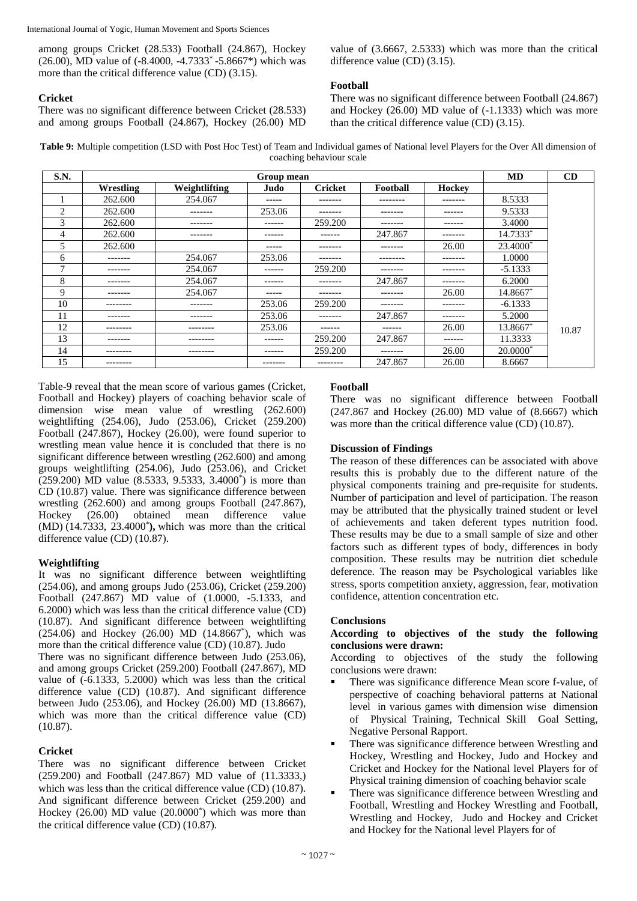among groups Cricket (28.533) Football (24.867), Hockey (26.00), MD value of (-8.4000, -4.7333\* -5.8667\*) which was more than the critical difference value (CD) (3.15).

## **Cricket**

There was no significant difference between Cricket (28.533) and among groups Football (24.867), Hockey (26.00) MD value of (3.6667, 2.5333) which was more than the critical difference value (CD) (3.15).

# **Football**

There was no significant difference between Football (24.867) and Hockey (26.00) MD value of (-1.1333) which was more than the critical difference value (CD) (3.15).

**Table 9:** Multiple competition (LSD with Post Hoc Test) of Team and Individual games of National level Players for the Over All dimension of coaching behaviour scale

| S.N. |           |               | Group mean |                |          |          | MD         | CD    |
|------|-----------|---------------|------------|----------------|----------|----------|------------|-------|
|      | Wrestling | Weightlifting | Judo       | <b>Cricket</b> | Football | Hockey   |            |       |
|      | 262.600   | 254.067       | -----      | -------        | -------- | -------- | 8.5333     |       |
| 2    | 262.600   | -------       | 253.06     | -------        | -------  | -------  | 9.5333     |       |
| 3    | 262.600   | -------       | ------     | 259.200        | -------  | ------   | 3.4000     |       |
| 4    | 262.600   | -------       | ------     | ------         | 247.867  | -------  | 14.7333*   |       |
| 5    | 262.600   |               | -----      | --------       | -------- | 26.00    | 23.4000*   |       |
| 6    | --------  | 254.067       | 253.06     | --------       | -------- | -------- | 1.0000     |       |
| 7    | -------   | 254.067       | ------     | 259.200        | -------  | -------  | $-5.1333$  |       |
| 8    | -------   | 254.067       | ------     | -------        | 247.867  | -------  | 6.2000     |       |
| 9    | -------   | 254.067       | -----      | --------       | -------  | 26.00    | 14.8667*   |       |
| 10   | --------- | -------       | 253.06     | 259.200        | -------  | -------- | $-6.1333$  |       |
| 11   | --------  | -------       | 253.06     | -------        | 247.867  | -------- | 5.2000     |       |
| 12   | --------  | --------      | 253.06     | ------         | ------   | 26.00    | 13.8667*   | 10.87 |
| 13   | -------   | --------      | ------     | 259.200        | 247.867  | ------   | 11.3333    |       |
| 14   | --------  | ---------     | -------    | 259.200        | -------- | 26.00    | $20.0000*$ |       |
| 15   | --------  |               | -------    | --------       | 247.867  | 26.00    | 8.6667     |       |

Table-9 reveal that the mean score of various games (Cricket, Football and Hockey) players of coaching behavior scale of dimension wise mean value of wrestling (262.600) weightlifting (254.06), Judo (253.06), Cricket (259.200) Football (247.867), Hockey (26.00), were found superior to wrestling mean value hence it is concluded that there is no significant difference between wrestling (262.600) and among groups weightlifting (254.06), Judo (253.06), and Cricket (259.200) MD value (8.5333, 9.5333, 3.4000\* ) is more than CD (10.87) value. There was significance difference between wrestling (262.600) and among groups Football (247.867), Hockey (26.00) obtained mean difference value (MD) (14.7333, 23.4000\* **),** which was more than the critical difference value (CD) (10.87).

# **Weightlifting**

It was no significant difference between weightlifting (254.06), and among groups Judo (253.06), Cricket (259.200) Football (247.867) MD value of (1.0000, -5.1333, and 6.2000) which was less than the critical difference value (CD) (10.87). And significant difference between weightlifting (254.06) and Hockey (26.00) MD (14.8667\* ), which was more than the critical difference value (CD) (10.87). Judo There was no significant difference between Judo (253.06), and among groups Cricket (259.200) Football (247.867), MD value of (-6.1333, 5.2000) which was less than the critical difference value (CD) (10.87). And significant difference between Judo (253.06), and Hockey (26.00) MD (13.8667),

# **Cricket**

(10.87).

There was no significant difference between Cricket (259.200) and Football (247.867) MD value of (11.3333,) which was less than the critical difference value (CD) (10.87). And significant difference between Cricket (259.200) and Hockey  $(26.00)$  MD value  $(20.0000<sup>*</sup>)$  which was more than the critical difference value (CD) (10.87).

which was more than the critical difference value (CD)

# **Football**

There was no significant difference between Football (247.867 and Hockey (26.00) MD value of (8.6667) which was more than the critical difference value (CD) (10.87).

## **Discussion of Findings**

The reason of these differences can be associated with above results this is probably due to the different nature of the physical components training and pre-requisite for students. Number of participation and level of participation. The reason may be attributed that the physically trained student or level of achievements and taken deferent types nutrition food. These results may be due to a small sample of size and other factors such as different types of body, differences in body composition. These results may be nutrition diet schedule deference. The reason may be Psychological variables like stress, sports competition anxiety, aggression, fear, motivation confidence, attention concentration etc.

# **Conclusions**

# **According to objectives of the study the following conclusions were drawn:**

According to objectives of the study the following conclusions were drawn:

- There was significance difference Mean score f-value, of perspective of coaching behavioral patterns at National level in various games with dimension wise dimension of Physical Training, Technical Skill Goal Setting, Negative Personal Rapport.
- There was significance difference between Wrestling and Hockey, Wrestling and Hockey, Judo and Hockey and Cricket and Hockey for the National level Players for of Physical training dimension of coaching behavior scale
- There was significance difference between Wrestling and Football, Wrestling and Hockey Wrestling and Football, Wrestling and Hockey, Judo and Hockey and Cricket and Hockey for the National level Players for of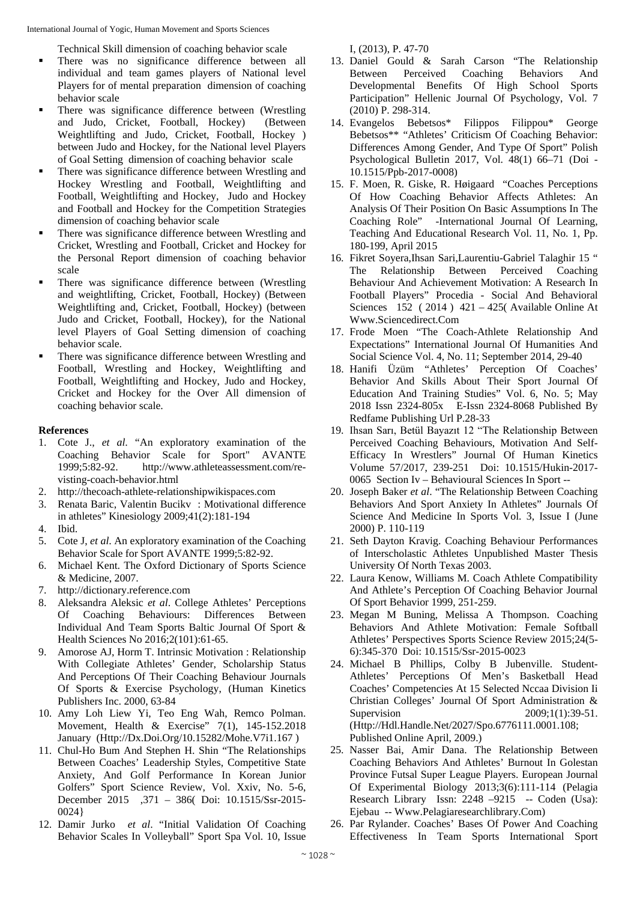Technical Skill dimension of coaching behavior scale

- There was no significance difference between all individual and team games players of National level Players for of mental preparation dimension of coaching behavior scale
- There was significance difference between (Wrestling and Judo, Cricket, Football, Hockey) (Between Weightlifting and Judo, Cricket, Football, Hockey ) between Judo and Hockey, for the National level Players of Goal Setting dimension of coaching behavior scale
- There was significance difference between Wrestling and Hockey Wrestling and Football, Weightlifting and Football, Weightlifting and Hockey, Judo and Hockey and Football and Hockey for the Competition Strategies dimension of coaching behavior scale
- There was significance difference between Wrestling and Cricket, Wrestling and Football, Cricket and Hockey for the Personal Report dimension of coaching behavior scale
- There was significance difference between (Wrestling and weightlifting, Cricket, Football, Hockey) (Between Weightlifting and, Cricket, Football, Hockey) (between Judo and Cricket, Football, Hockey), for the National level Players of Goal Setting dimension of coaching behavior scale.
- **There was significance difference between Wrestling and** Football, Wrestling and Hockey, Weightlifting and Football, Weightlifting and Hockey, Judo and Hockey, Cricket and Hockey for the Over All dimension of coaching behavior scale.

## **References**

- 1. Cote J., *et al*. "An exploratory examination of the Coaching Behavior Scale for Sport" AVANTE 1999;5:82-92. http://www.athleteassessment.com/revisting-coach-behavior.html
- 2. http://thecoach-athlete-relationshipwikispaces.com
- 3. Renata Baric, Valentin Bucikv : Motivational difference in athletes" Kinesiology 2009;41(2):181-194
- 4. Ibid.
- 5. Cote J, *et al*. An exploratory examination of the Coaching Behavior Scale for Sport AVANTE 1999;5:82-92.
- 6. Michael Kent. The Oxford Dictionary of Sports Science & Medicine, 2007.
- 7. http://dictionary.reference.com
- 8. Aleksandra Aleksic *et al*. College Athletes' Perceptions Of Coaching Behaviours: Differences Between Individual And Team Sports Baltic Journal Of Sport & Health Sciences No 2016;2(101):61-65.
- 9. Amorose AJ, Horm T. Intrinsic Motivation : Relationship With Collegiate Athletes' Gender, Scholarship Status And Perceptions Of Their Coaching Behaviour Journals Of Sports & Exercise Psychology, (Human Kinetics Publishers Inc. 2000, 63-84
- 10. Amy Loh Liew Yi, Teo Eng Wah, Remco Polman. Movement, Health & Exercise" 7(1), 145-152.2018 January (Http://Dx.Doi.Org/10.15282/Mohe.V7i1.167 )
- 11. Chul-Ho Bum And Stephen H. Shin "The Relationships Between Coaches' Leadership Styles, Competitive State Anxiety, And Golf Performance In Korean Junior Golfers" Sport Science Review, Vol. Xxiv, No. 5-6, December 2015 ,371 – 386( Doi: 10.1515/Ssr-2015- 0024}
- 12. Damir Jurko *et al*. "Initial Validation Of Coaching Behavior Scales In Volleyball" Sport Spa Vol. 10, Issue

I, (2013), P. 47-70

- 13. Daniel Gould & Sarah Carson "The Relationship Between Perceived Coaching Behaviors And Developmental Benefits Of High School Sports Participation" Hellenic Journal Of Psychology, Vol. 7 (2010) P. 298-314.
- 14. Evangelos Bebetsos\* Filippos Filippou\* George Bebetsos\*\* "Athletes' Criticism Of Coaching Behavior: Differences Among Gender, And Type Of Sport" Polish Psychological Bulletin 2017, Vol. 48(1) 66–71 (Doi - 10.1515/Ppb-2017-0008)
- 15. F. Moen, R. Giske, R. Høigaard "Coaches Perceptions Of How Coaching Behavior Affects Athletes: An Analysis Of Their Position On Basic Assumptions In The Coaching Role" -International Journal Of Learning, Teaching And Educational Research Vol. 11, No. 1, Pp. 180-199, April 2015
- 16. Fikret Soyera,Ihsan Sari,Laurentiu-Gabriel Talaghir 15 " The Relationship Between Perceived Coaching Behaviour And Achievement Motivation: A Research In Football Players" Procedia - Social And Behavioral Sciences 152 ( 2014 ) 421 – 425( Available Online At Www.Sciencedirect.Com
- 17. Frode Moen "The Coach-Athlete Relationship And Expectations" International Journal Of Humanities And Social Science Vol. 4, No. 11; September 2014, 29-40
- 18. Hanifi Üzüm "Athletes' Perception Of Coaches' Behavior And Skills About Their Sport Journal Of Education And Training Studies" Vol. 6, No. 5; May 2018 Issn 2324-805x E-Issn 2324-8068 Published By Redfame Publishing Url P.28-33
- 19. Ihsan Sarı, Betül Bayazıt 12 "The Relationship Between Perceived Coaching Behaviours, Motivation And Self-Efficacy In Wrestlers" Journal Of Human Kinetics Volume 57/2017, 239-251 Doi: 10.1515/Hukin-2017- 0065 Section Iv – Behavioural Sciences In Sport --
- 20. Joseph Baker *et al*. "The Relationship Between Coaching Behaviors And Sport Anxiety In Athletes" Journals Of Science And Medicine In Sports Vol. 3, Issue I (June 2000) P. 110-119
- 21. Seth Dayton Kravig. Coaching Behaviour Performances of Interscholastic Athletes Unpublished Master Thesis University Of North Texas 2003.
- 22. Laura Kenow, Williams M. Coach Athlete Compatibility And Athlete's Perception Of Coaching Behavior Journal Of Sport Behavior 1999, 251-259.
- 23. Megan M Buning, Melissa A Thompson. Coaching Behaviors And Athlete Motivation: Female Softball Athletes' Perspectives Sports Science Review 2015;24(5- 6):345-370 Doi: 10.1515/Ssr-2015-0023
- 24. Michael B Phillips, Colby B Jubenville. Student-Athletes' Perceptions Of Men's Basketball Head Coaches' Competencies At 15 Selected Nccaa Division Ii Christian Colleges' Journal Of Sport Administration & Supervision 2009;1(1):39-51. (Http://Hdl.Handle.Net/2027/Spo.6776111.0001.108; Published Online April, 2009.)
- 25. Nasser Bai, Amir Dana. The Relationship Between Coaching Behaviors And Athletes' Burnout In Golestan Province Futsal Super League Players. European Journal Of Experimental Biology 2013;3(6):111-114 (Pelagia Research Library Issn: 2248 -9215 -- Coden (Usa): Ejebau -- Www.Pelagiaresearchlibrary.Com)
- 26. Par Rylander. Coaches' Bases Of Power And Coaching Effectiveness In Team Sports International Sport